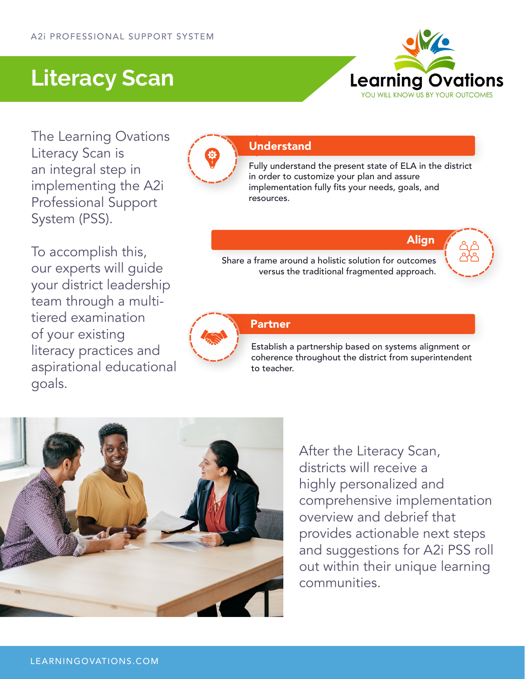### **Literacy Scan**



The Learning Ovations Literacy Scan is an integral step in implementing the A2i Professional Support System (PSS).

To accomplish this, our experts will guide your district leadership team through a multitiered examination of your existing literacy practices and aspirational educational goals.



#### **Understand**

Fully understand the present state of ELA in the district Fu in order to customize your plan and assure implementation fully fits your needs, goals, and im resources. re

Align

Share a frame around a holistic solution for outcomes Share a frame around a holistic solution for outcome ame around a holistic solution for outcomes<br>versus the traditional fragmented approach.





Establish a partnership based on systems alignment or s EsPartner Establish a partnership based on systems alignment or<br>coherence throughout the district from superintendent to teacher.



After the Literacy Scan, districts will receive a highly personalized and comprehensive implementation overview and debrief that provides actionable next steps and suggestions for A2i PSS roll out within their unique learning communities.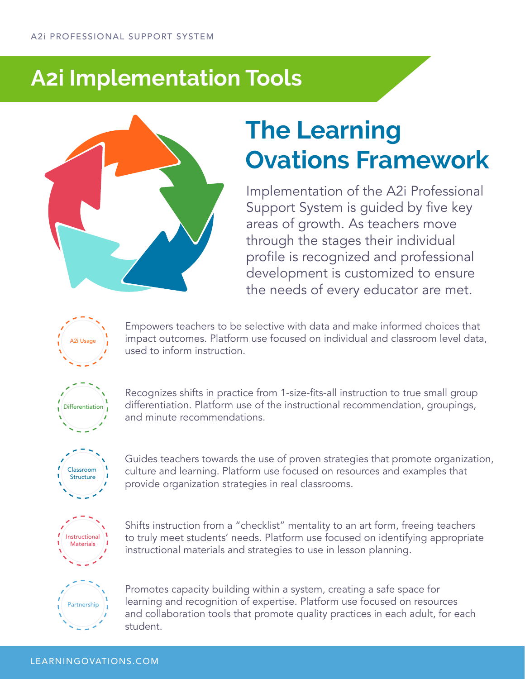### **A2i Implementation Tools**



# **The Learning Ovations Framework**

Implementation of the A2i Professional Support System is guided by five key areas of growth. As teachers move through the stages their individual profile is recognized and professional development is customized to ensure the needs of every educator are met.



Empowers teachers to be selective with data and make informed choices that impact outcomes. Platform use focused on individual and classroom level data, used to inform instruction.



Recognizes shifts in practice from 1-size-fits-all instruction to true small group differentiation. Platform use of the instructional recommendation, groupings, and minute recommendations.



Guides teachers towards the use of proven strategies that promote organization, culture and learning. Platform use focused on resources and examples that provide organization strategies in real classrooms.



Shifts instruction from a "checklist" mentality to an art form, freeing teachers to truly meet students' needs. Platform use focused on identifying appropriate instructional materials and strategies to use in lesson planning.



Promotes capacity building within a system, creating a safe space for learning and recognition of expertise. Platform use focused on resources and collaboration tools that promote quality practices in each adult, for each student.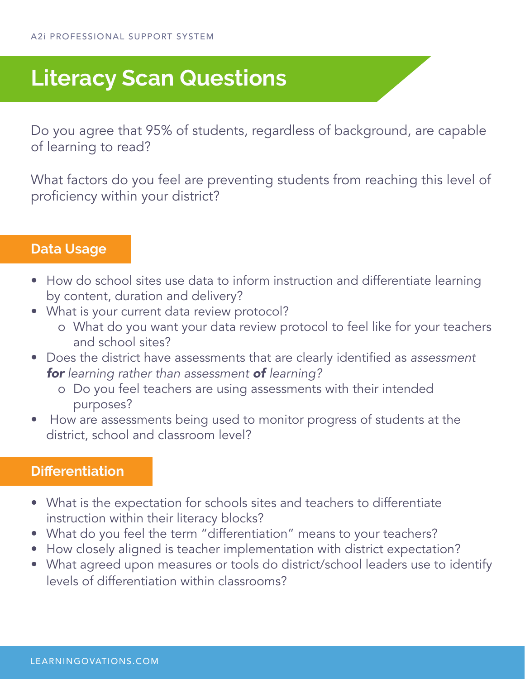## **Literacy Scan Questions**

Do you agree that 95% of students, regardless of background, are capable of learning to read?

What factors do you feel are preventing students from reaching this level of proficiency within your district?

### **Data Usage**

- How do school sites use data to inform instruction and differentiate learning by content, duration and delivery?
- What is your current data review protocol?
	- o What do you want your data review protocol to feel like for your teachers and school sites?
- Does the district have assessments that are clearly identified as *assessment for learning rather than assessment of learning?* 
	- o Do you feel teachers are using assessments with their intended purposes?
- How are assessments being used to monitor progress of students at the district, school and classroom level?

### **Differentiation**

- What is the expectation for schools sites and teachers to differentiate instruction within their literacy blocks?
- What do you feel the term "differentiation" means to your teachers?
- How closely aligned is teacher implementation with district expectation?
- What agreed upon measures or tools do district/school leaders use to identify levels of differentiation within classrooms?